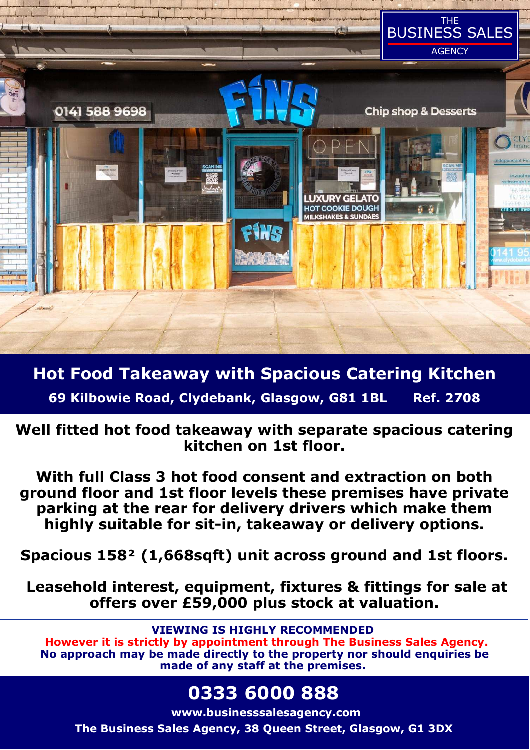

**Hot Food Takeaway with Spacious Catering Kitchen 69 Kilbowie Road, Clydebank, Glasgow, G81 1BL Ref. 2708** 

**Well fitted hot food takeaway with separate spacious catering kitchen on 1st floor.** 

**With full Class 3 hot food consent and extraction on both ground floor and 1st floor levels these premises have private parking at the rear for delivery drivers which make them highly suitable for sit-in, takeaway or delivery options.** 

**Spacious 158² (1,668sqft) unit across ground and 1st floors.** 

 **Leasehold interest, equipment, fixtures & fittings for sale at offers over £59,000 plus stock at valuation.** 

**VIEWING IS HIGHLY RECOMMENDED However it is strictly by appointment through The Business Sales Agency. No approach may be made directly to the property nor should enquiries be made of any staff at the premises.** 

# **0333 6000 888**

**www.businesssalesagency.com The Business Sales Agency, 38 Queen Street, Glasgow, G1 3DX**